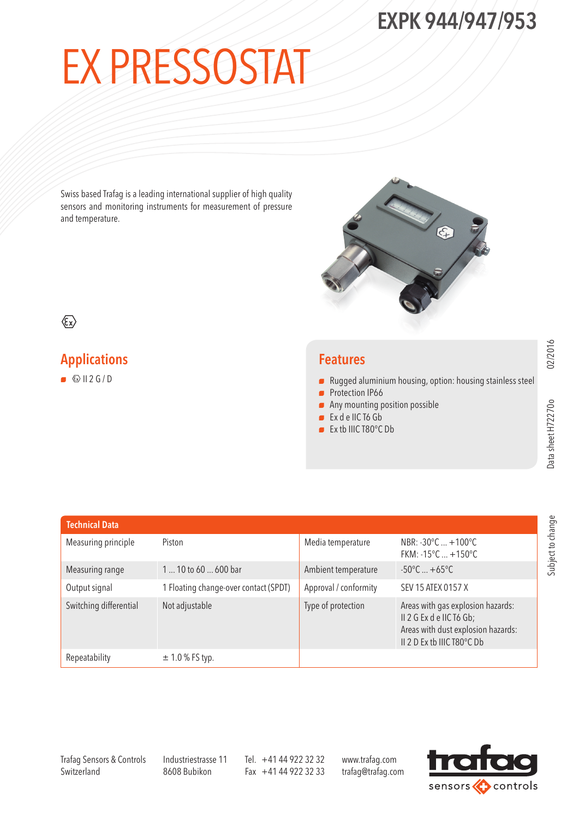# Ex Pressostat

Swiss based Trafag is a leading international supplier of high quality sensors and monitoring instruments for measurement of pressure and temperature.



#### $\langle \widehat{\epsilon_{x}} \rangle$

#### Applications

 $\bullet$   $\otimes$  II 2 G / D

#### Features

- $\blacksquare$  Rugged aluminium housing, option: housing stainless steel
- **Protection IP66**
- $\blacksquare$  Any mounting position possible
- <sup>N</sup> Ex d e IIC T6 Gb
- Ex tb IIIC T80°C Db

02/2016

Subject to change

Subject to change

| <b>Technical Data</b>  |                                       |                       |                                                                                                                                   |
|------------------------|---------------------------------------|-----------------------|-----------------------------------------------------------------------------------------------------------------------------------|
| Measuring principle    | Piston                                | Media temperature     | NBR: -30°C  +100°C<br>FKM: $-15^{\circ}$ C $+150^{\circ}$ C                                                                       |
| Measuring range        | 1  10 to 60  600 bar                  | Ambient temperature   | $-50^{\circ}$ C $+65^{\circ}$ C                                                                                                   |
| Output signal          | 1 Floating change-over contact (SPDT) | Approval / conformity | SEV 15 ATEX 0157 X                                                                                                                |
| Switching differential | Not adjustable                        | Type of protection    | Areas with gas explosion hazards:<br>II 2 G Ex d e IIC T6 Gb;<br>Areas with dust explosion hazards:<br>II 2 D Ex tb IIIC T80°C Db |
| Repeatability          | $\pm$ 1.0 % FS typ.                   |                       |                                                                                                                                   |

Trafag Sensors & Controls **Switzerland** 

Industriestrasse 11 8608 Bubikon

Tel. +41 44 922 32 32 Fax +41 44 922 32 33

www.trafag.com trafag@trafag.com

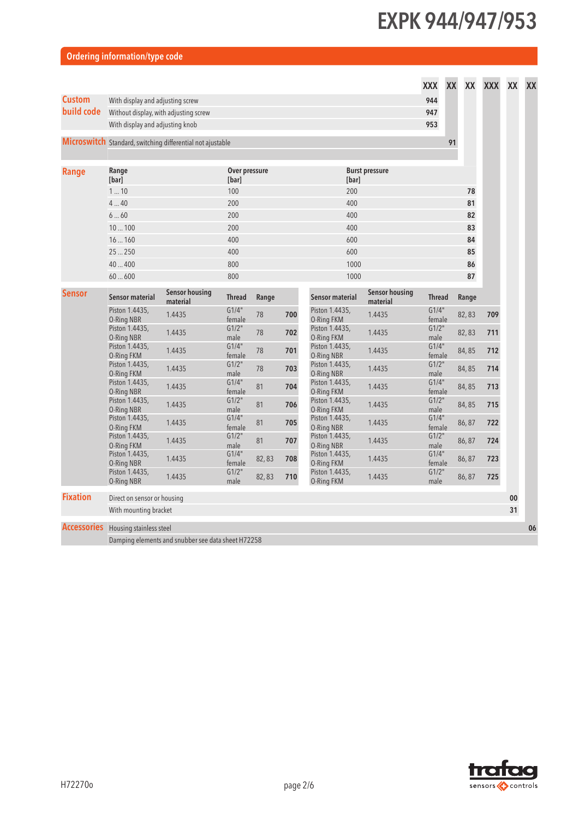| Ordering information/type code |  |  |  |
|--------------------------------|--|--|--|
|                                |  |  |  |

|                 |                                            |                                                            |                        |       |     |                                     |                                   | <b>XXX</b>      | XX<br>XX | <b>XXX</b> | XX | XX |
|-----------------|--------------------------------------------|------------------------------------------------------------|------------------------|-------|-----|-------------------------------------|-----------------------------------|-----------------|----------|------------|----|----|
| <b>Custom</b>   | With display and adjusting screw           |                                                            |                        |       |     |                                     |                                   |                 |          |            |    |    |
| build code      | Without display, with adjusting screw      |                                                            |                        |       |     |                                     |                                   | 947             |          |            |    |    |
|                 | With display and adjusting knob            |                                                            |                        |       |     |                                     |                                   | 953             |          |            |    |    |
|                 |                                            | Microswitch Standard, switching differential not ajustable |                        |       |     |                                     |                                   |                 | 91       |            |    |    |
| <b>Range</b>    | Range<br>[bar]                             |                                                            | Over pressure<br>[bar] |       |     | [bar]                               | <b>Burst pressure</b>             |                 |          |            |    |    |
|                 | 110                                        |                                                            | 100                    |       |     | 200                                 |                                   |                 | 78       |            |    |    |
|                 | 440                                        |                                                            | 200                    |       |     | 400                                 |                                   |                 | 81       |            |    |    |
|                 | 660                                        |                                                            | 200                    |       |     | 400                                 |                                   |                 | 82       |            |    |    |
|                 | 10100                                      |                                                            | 200                    |       |     | 400                                 |                                   |                 | 83       |            |    |    |
|                 | 16160                                      |                                                            | 400                    |       |     | 600                                 |                                   |                 | 84       |            |    |    |
|                 | 25250                                      |                                                            | 400                    |       |     | 600                                 |                                   |                 | 85       |            |    |    |
|                 | 40400                                      |                                                            | 800                    |       |     | 1000                                |                                   |                 | 86       |            |    |    |
|                 | 60600                                      |                                                            | 800                    |       |     | 1000                                |                                   |                 | 87       |            |    |    |
| <b>Sensor</b>   | Sensor material                            | <b>Sensor housing</b><br>material                          | <b>Thread</b>          | Range |     | <b>Sensor material</b>              | <b>Sensor housing</b><br>material | <b>Thread</b>   | Range    |            |    |    |
|                 | Piston 1.4435,<br>O-Ring NBR               | 1.4435                                                     | G1/4"<br>female        | 78    | 700 | Piston 1.4435,<br>O-Ring FKM        | 1.4435                            | G1/4"<br>female | 82,83    | 709        |    |    |
|                 | Piston 1.4435,<br>O-Ring NBR               | 1.4435                                                     | G1/2"<br>male          | 78    | 702 | Piston 1.4435,<br>O-Ring FKM        | 1.4435                            | G1/2"<br>male   | 82,83    | 711        |    |    |
|                 | Piston 1.4435,<br>O-Ring FKM               | 1.4435                                                     | G1/4"<br>female        | 78    | 701 | Piston 1.4435,<br><b>O-Ring NBR</b> | 1.4435                            | G1/4"<br>female | 84,85    | 712        |    |    |
|                 | Piston 1.4435,<br>O-Ring FKM               | 1.4435                                                     | G1/2"<br>male          | 78    | 703 | Piston 1.4435,<br>O-Ring NBR        | 1.4435                            | G1/2"<br>male   | 84,85    | 714        |    |    |
|                 | Piston 1.4435,<br>O-Ring NBR               | 1.4435                                                     | G1/4"<br>female        | 81    | 704 | Piston 1.4435,<br>O-Ring FKM        | 1.4435                            | G1/4"<br>female | 84,85    | 713        |    |    |
|                 | Piston 1.4435,<br>O-Ring NBR               | 1.4435                                                     | G1/2"<br>male          | 81    | 706 | Piston 1.4435,<br>O-Ring FKM        | 1.4435                            | G1/2"<br>male   | 84,85    | 715        |    |    |
|                 | Piston 1.4435,<br>O-Ring FKM               | 1.4435                                                     | G1/4"<br>female        | 81    | 705 | Piston 1.4435,<br>O-Ring NBR        | 1.4435                            | G1/4"<br>female | 86,87    | 722        |    |    |
|                 | Piston 1.4435,<br>O-Ring FKM               | 1.4435                                                     | G1/2"<br>male          | 81    | 707 | Piston 1.4435,<br>O-Ring NBR        | 1.4435                            | G1/2"<br>male   | 86,87    | 724        |    |    |
|                 | Piston 1.4435,<br>O-Ring NBR               | 1.4435                                                     | G1/4"<br>female        | 82,83 | 708 | Piston 1.4435,<br>O-Ring FKM        | 1.4435                            | G1/4"<br>female | 86,87    | 723        |    |    |
|                 | Piston 1.4435,<br>O-Ring NBR               | 1.4435                                                     | G1/2"<br>male          | 82,83 | 710 | Piston 1.4435,<br>O-Ring FKM        | 1.4435                            | G1/2"<br>male   | 86,87    | 725        |    |    |
| <b>Fixation</b> | Direct on sensor or housing                |                                                            |                        |       |     |                                     |                                   |                 |          |            | 00 |    |
|                 | With mounting bracket                      |                                                            |                        |       |     |                                     |                                   |                 |          |            | 31 |    |
|                 | <b>Accessories</b> Housing stainless steel |                                                            |                        |       |     |                                     |                                   |                 |          |            |    | 06 |

Damping elements and snubber see data sheet H72258

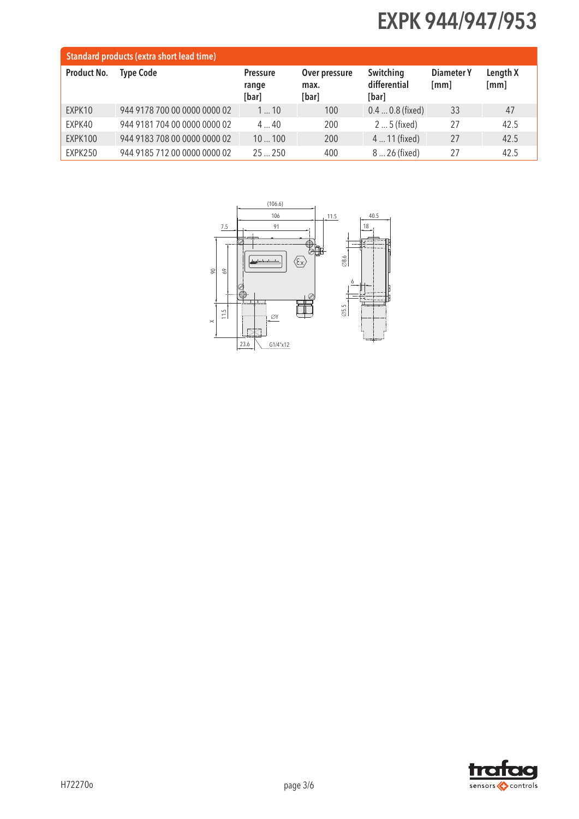| <b>Standard products (extra short lead time)</b> |                              |                                   |                                |                                    |                    |                  |  |  |
|--------------------------------------------------|------------------------------|-----------------------------------|--------------------------------|------------------------------------|--------------------|------------------|--|--|
| Product No.                                      | <b>Type Code</b>             | <b>Pressure</b><br>range<br>[bar] | Over pressure<br>max.<br>[bar] | Switching<br>differential<br>[bar] | Diameter Y<br>[mm] | Length X<br>[mm] |  |  |
| EXPK10                                           | 944 9178 700 00 0000 0000 02 | 110                               | 100                            | $0.40.8$ (fixed)                   | 33                 | 47               |  |  |
| EXPK40                                           | 944 9181 704 00 0000 0000 02 | $4 \dots 40$                      | 200                            | $25$ (fixed)                       | 27                 | 42.5             |  |  |
| EXPK100                                          | 944 9183 708 00 0000 0000 02 | 10100                             | 200                            | 4  11 (fixed)                      | 27                 | 42.5             |  |  |
| EXPK250                                          | 944 9185 712 00 0000 0000 02 | $25 - 250$                        | 400                            | 8  26 (fixed)                      | 27                 | 42.5             |  |  |



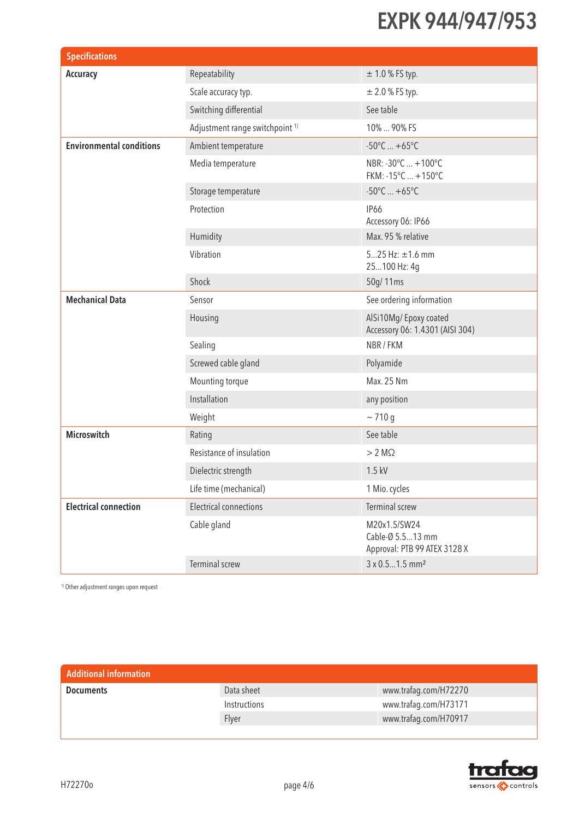| <b>Specifications</b>           |                                            |                                                                  |  |  |
|---------------------------------|--------------------------------------------|------------------------------------------------------------------|--|--|
| Accuracy                        | Repeatability                              | $± 1.0 %$ FS typ.                                                |  |  |
|                                 | Scale accuracy typ.                        | $\pm 2.0$ % FS typ.                                              |  |  |
|                                 | Switching differential                     | See table                                                        |  |  |
|                                 | Adjustment range switchpoint <sup>1)</sup> | 10%  90% FS                                                      |  |  |
| <b>Environmental conditions</b> | Ambient temperature                        | $-50^{\circ}$ C $+65^{\circ}$ C                                  |  |  |
|                                 | Media temperature                          | NBR: -30°C  +100°C<br>FKM: -15°C  +150°C                         |  |  |
|                                 | Storage temperature                        | $-50^{\circ}$ C $+65^{\circ}$ C                                  |  |  |
|                                 | Protection                                 | <b>IP66</b><br>Accessory 06: IP66                                |  |  |
|                                 | Humidity                                   | Max. 95 % relative                                               |  |  |
|                                 | Vibration                                  | $525$ Hz: $\pm$ 1.6 mm<br>25100 Hz: 4g                           |  |  |
|                                 | Shock                                      | 50g/11ms                                                         |  |  |
| <b>Mechanical Data</b>          | Sensor                                     | See ordering information                                         |  |  |
|                                 | Housing                                    | AlSi10Mg/Epoxy coated<br>Accessory 06: 1.4301 (AISI 304)         |  |  |
|                                 | Sealing                                    | NBR / FKM                                                        |  |  |
|                                 | Screwed cable gland                        | Polyamide                                                        |  |  |
|                                 | Mounting torque                            | Max. 25 Nm                                                       |  |  |
|                                 | Installation                               | any position                                                     |  |  |
|                                 | Weight                                     | ~10 g                                                            |  |  |
| <b>Microswitch</b>              | Rating                                     | See table                                                        |  |  |
|                                 | Resistance of insulation                   | $> 2 M\Omega$                                                    |  |  |
|                                 | Dielectric strength                        | 1.5 kV                                                           |  |  |
|                                 | Life time (mechanical)                     | 1 Mio. cycles                                                    |  |  |
| <b>Electrical connection</b>    | <b>Electrical connections</b>              | Terminal screw                                                   |  |  |
|                                 | Cable gland                                | M20x1.5/SW24<br>Cable-Ø 5.513 mm<br>Approval: PTB 99 ATEX 3128 X |  |  |
|                                 | Terminal screw                             | 3 x 0.51.5 mm <sup>2</sup>                                       |  |  |

1) Other adjustment ranges upon request

| <b>Additional information</b> |              |                       |
|-------------------------------|--------------|-----------------------|
| <b>Documents</b>              | Data sheet   | www.trafag.com/H72270 |
|                               | Instructions | www.trafag.com/H73171 |
|                               | Flyer        | www.trafag.com/H70917 |
|                               |              |                       |

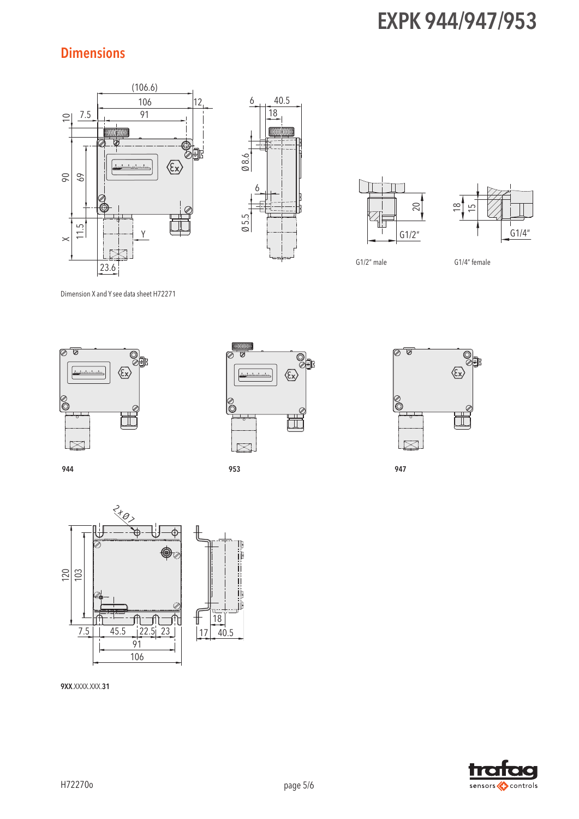#### **Dimensions**









G1/2" male G1/4" female

Dimension X and Y see data sheet H72271





944 953 947







9XX.XXXX.XXX.31